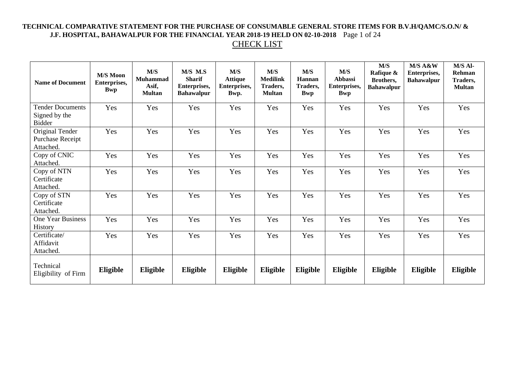### **TECHNICAL COMPARATIVE STATEMENT FOR THE PURCHASE OF CONSUMABLE GENERAL STORE ITEMS FOR B.V.H/QAMC/S.O.N/ & J.F. HOSPITAL, BAHAWALPUR FOR THE FINANCIAL YEAR 2018-19 HELD ON 02-10-2018** Page 1 of 24 CHECK LIST

| <b>Name of Document</b>                                   | <b>M/S Moon</b><br>Enterprises,<br><b>Bwp</b> | M/S<br>Muhammad<br>Asif,<br><b>Multan</b> | M/S M.S<br><b>Sharif</b><br>Enterprises,<br><b>Bahawalpur</b> | M/S<br><b>Attique</b><br>Enterprises,<br>Bwp. | M/S<br><b>Medilink</b><br>Traders,<br><b>Multan</b> | M/S<br>Hannan<br>Traders,<br><b>Bwp</b> | M/S<br><b>Abbassi</b><br>Enterprises,<br><b>Bwp</b> | M/S<br>Rafique &<br>Brothers,<br><b>Bahawalpur</b> | M/S A&W<br><b>Enterprises,</b><br><b>Bahawalpur</b> | M/S Al-<br>Rehman<br>Traders,<br><b>Multan</b> |
|-----------------------------------------------------------|-----------------------------------------------|-------------------------------------------|---------------------------------------------------------------|-----------------------------------------------|-----------------------------------------------------|-----------------------------------------|-----------------------------------------------------|----------------------------------------------------|-----------------------------------------------------|------------------------------------------------|
| <b>Tender Documents</b><br>Signed by the<br><b>Bidder</b> | Yes                                           | Yes                                       | Yes                                                           | Yes                                           | Yes                                                 | Yes                                     | Yes                                                 | Yes                                                | Yes                                                 | Yes                                            |
| Original Tender<br>Purchase Receipt<br>Attached.          | Yes                                           | Yes                                       | Yes                                                           | Yes                                           | Yes                                                 | Yes                                     | Yes                                                 | Yes                                                | Yes                                                 | Yes                                            |
| Copy of CNIC<br>Attached.                                 | Yes                                           | Yes                                       | Yes                                                           | Yes                                           | Yes                                                 | Yes                                     | Yes                                                 | Yes                                                | Yes                                                 | Yes                                            |
| Copy of NTN<br>Certificate<br>Attached.                   | Yes                                           | Yes                                       | Yes                                                           | Yes                                           | Yes                                                 | Yes                                     | Yes                                                 | Yes                                                | Yes                                                 | Yes                                            |
| Copy of STN<br>Certificate<br>Attached.                   | Yes                                           | Yes                                       | Yes                                                           | Yes                                           | Yes                                                 | Yes                                     | Yes                                                 | Yes                                                | Yes                                                 | Yes                                            |
| One Year Business<br>History                              | Yes                                           | Yes                                       | Yes                                                           | Yes                                           | Yes                                                 | Yes                                     | Yes                                                 | Yes                                                | Yes                                                 | Yes                                            |
| Certificate/<br>Affidavit<br>Attached.                    | Yes                                           | Yes                                       | Yes                                                           | Yes                                           | Yes                                                 | Yes                                     | Yes                                                 | Yes                                                | Yes                                                 | Yes                                            |
| Technical<br>Eligibility of Firm                          | Eligible                                      | Eligible                                  | Eligible                                                      | Eligible                                      | Eligible                                            | Eligible                                | Eligible                                            | Eligible                                           | Eligible                                            | Eligible                                       |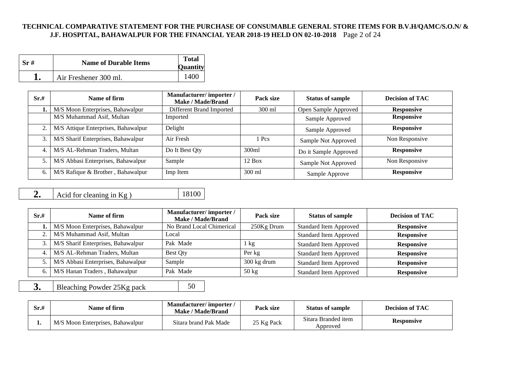#### **TECHNICAL COMPARATIVE STATEMENT FOR THE PURCHASE OF CONSUMABLE GENERAL STORE ITEMS FOR B.V.H/QAMC/S.O.N/ & J.F. HOSPITAL, BAHAWALPUR FOR THE FINANCIAL YEAR 2018-19 HELD ON 02-10-2018** Page 2 of 24

| Sr# | <b>Name of Durable Items</b> | <b>Total</b><br><b>Quantity</b> |
|-----|------------------------------|---------------------------------|
|     | Air Freshener 300 ml.        | 1400                            |

| Sr.# | Name of firm                        | Manufacturer/importer/<br><b>Make / Made/Brand</b> | Pack size | <b>Status of sample</b> | <b>Decision of TAC</b> |
|------|-------------------------------------|----------------------------------------------------|-----------|-------------------------|------------------------|
|      | M/S Moon Enterprises, Bahawalpur    | Different Brand Imported                           | 300 ml    | Open Sample Approved    | <b>Responsive</b>      |
|      | M/S Muhammad Asif, Multan           | Imported                                           |           | Sample Approved         | <b>Responsive</b>      |
| 2.   | M/S Attique Enterprises, Bahawalpur | Delight                                            |           | Sample Approved         | <b>Responsive</b>      |
| 3.   | M/S Sharif Enterprises, Bahawalpur  | Air Fresh                                          | Pcs       | Sample Not Approved     | Non Responsive         |
| 4.   | M/S AL-Rehman Traders, Multan       | Do It Best Qty                                     | 300ml     | Do it Sample Approved   | <b>Responsive</b>      |
|      | M/S Abbasi Enterprises, Bahawalpur  | Sample                                             | $12$ Box  | Sample Not Approved     | Non Responsive         |
| б.   | M/S Rafique & Brother, Bahawalpur   | Imp Item                                           | 300 ml    | Sample Approve          | <b>Responsive</b>      |

**2.** Acid for cleaning in Kg ) 18100

| Sr.# | Name of firm                       | Manufacturer/importer/<br>Make / Made/Brand | Pack size             | <b>Status of sample</b>       | <b>Decision of TAC</b> |
|------|------------------------------------|---------------------------------------------|-----------------------|-------------------------------|------------------------|
|      | M/S Moon Enterprises, Bahawalpur   | No Brand Local Chimerical                   | 250Kg Drum            | <b>Standard Item Approved</b> | <b>Responsive</b>      |
|      | M/S Muhammad Asif, Multan          | Local                                       |                       | <b>Standard Item Approved</b> | <b>Responsive</b>      |
|      | M/S Sharif Enterprises, Bahawalpur | Pak Made                                    | $1 \text{ kg}$        | <b>Standard Item Approved</b> | <b>Responsive</b>      |
|      | M/S AL-Rehman Traders, Multan      | Best Qty                                    | Per kg                | <b>Standard Item Approved</b> | <b>Responsive</b>      |
|      | M/S Abbasi Enterprises, Bahawalpur | Sample                                      | $300 \text{ kg}$ drum | <b>Standard Item Approved</b> | <b>Responsive</b>      |
|      | M/S Hanan Traders, Bahawalpur      | Pak Made                                    | $50 \text{ kg}$       | <b>Standard Item Approved</b> | <b>Responsive</b>      |

**3.** Bleaching Powder 25Kg pack 50

| $\mathrm{Sr}{\scriptstyle :}{\scriptstyle \#}$ | Name of firm                     | <b>Manufacturer/importer/</b><br>Make / Made/Brand | Pack size  | <b>Status of sample</b>         | <b>Decision of TAC</b> |
|------------------------------------------------|----------------------------------|----------------------------------------------------|------------|---------------------------------|------------------------|
| . .                                            | M/S Moon Enterprises, Bahawalpur | Sitara brand Pak Made                              | 25 Kg Pack | Sitara Branded item<br>Approved | <b>Responsive</b>      |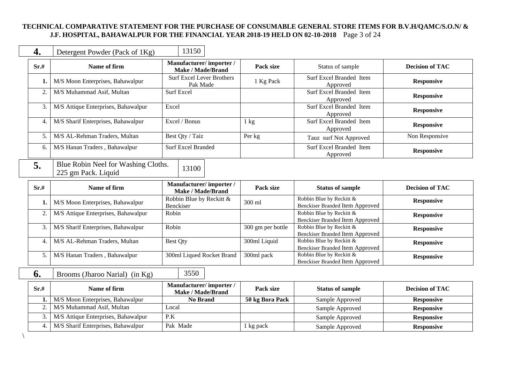#### **TECHNICAL COMPARATIVE STATEMENT FOR THE PURCHASE OF CONSUMABLE GENERAL STORE ITEMS FOR B.V.H/QAMC/S.O.N/ & J.F. HOSPITAL, BAHAWALPUR FOR THE FINANCIAL YEAR 2018-19 HELD ON 02-10-2018** Page 3 of 24

| 4.               | Detergent Powder (Pack of 1Kg)                             | 13150                                              |                   |                                                                    |                        |
|------------------|------------------------------------------------------------|----------------------------------------------------|-------------------|--------------------------------------------------------------------|------------------------|
| Sr.#             | Name of firm                                               | Manufacturer/importer/<br><b>Make / Made/Brand</b> | Pack size         | Status of sample                                                   | <b>Decision of TAC</b> |
| 1.               | M/S Moon Enterprises, Bahawalpur                           | <b>Surf Excel Lever Brothers</b><br>Pak Made       | 1 Kg Pack         | Surf Excel Branded Item<br>Approved                                | <b>Responsive</b>      |
| 2.               | M/S Muhammad Asif, Multan                                  | <b>Surf Excel</b>                                  |                   | <b>Surf Excel Branded Item</b><br>Approved                         | <b>Responsive</b>      |
| 3.               | M/S Attique Enterprises, Bahawalpur                        | Excel                                              |                   | Surf Excel Branded Item<br>Approved                                | <b>Responsive</b>      |
| 4.               | M/S Sharif Enterprises, Bahawalpur                         | Excel / Bonus                                      | $1 \text{ kg}$    | Surf Excel Branded Item<br>Approved                                | <b>Responsive</b>      |
| 5.               | M/S AL-Rehman Traders, Multan                              | Best Qty / Taiz                                    | Per kg            | Tauz surf Not Approved                                             | Non Responsive         |
| 6.               | M/S Hanan Traders, Bahawalpur                              | <b>Surf Excel Branded</b>                          |                   | Surf Excel Branded Item<br>Approved                                | <b>Responsive</b>      |
| 5.               | Blue Robin Neel for Washing Cloths.<br>225 gm Pack. Liquid | 13100                                              |                   |                                                                    |                        |
| Sr.#             | Name of firm                                               | Manufacturer/importer/<br><b>Make / Made/Brand</b> | Pack size         | <b>Status of sample</b>                                            | <b>Decision of TAC</b> |
| 1.               | M/S Moon Enterprises, Bahawalpur                           | Robbin Blue by Reckitt &<br>Benckiser              | 300 ml            | Robbin Blue by Reckitt &<br><b>Benckiser Branded Item Approved</b> | <b>Responsive</b>      |
| $\overline{2}$ . | M/S Attique Enterprises, Bahawalpur                        | Robin                                              |                   | Robbin Blue by Reckitt &<br><b>Benckiser Branded Item Approved</b> | <b>Responsive</b>      |
| 3.               | M/S Sharif Enterprises, Bahawalpur                         | Robin                                              | 300 gm per bottle | Robbin Blue by Reckitt &<br><b>Benckiser Branded Item Approved</b> | <b>Responsive</b>      |
| 4.               | M/S AL-Rehman Traders, Multan                              | <b>Best Qty</b>                                    | 300ml Liquid      | Robbin Blue by Reckitt &<br><b>Benckiser Branded Item Approved</b> | <b>Responsive</b>      |
| 5.               | M/S Hanan Traders, Bahawalpur                              | 300ml Liqued Rocket Brand                          | 300ml pack        | Robbin Blue by Reckitt &<br><b>Benckiser Branded Item Approved</b> | <b>Responsive</b>      |
| 6.               | Brooms (Jharoo Narial) (in Kg)                             | 3550                                               |                   |                                                                    |                        |
| Sr.#             | Name of firm                                               | Manufacturer/importer/<br>Make / Made/Brand        | Pack size         | <b>Status of sample</b>                                            | <b>Decision of TAC</b> |
| 1.               | M/S Moon Enterprises, Bahawalpur                           | <b>No Brand</b>                                    | 50 kg Bora Pack   | Sample Approved                                                    | <b>Responsive</b>      |
| 2.               | M/S Muhammad Asif, Multan                                  | Local                                              |                   | Sample Approved                                                    | <b>Responsive</b>      |
| 3.               | M/S Attique Enterprises, Bahawalpur                        | P.K                                                |                   | Sample Approved                                                    | <b>Responsive</b>      |
| 4.               | M/S Sharif Enterprises, Bahawalpur                         |                                                    |                   |                                                                    |                        |

\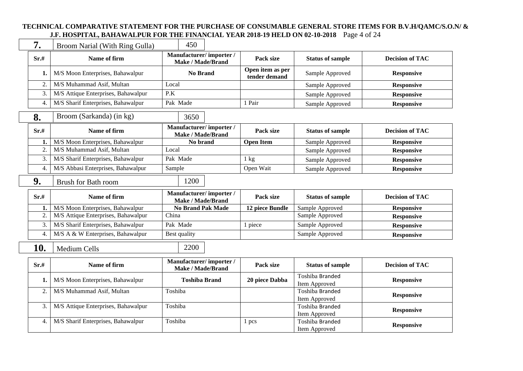#### **TECHNICAL COMPARATIVE STATEMENT FOR THE PURCHASE OF CONSUMABLE GENERAL STORE ITEMS FOR B.V.H/QAMC/S.O.N/ & J.F. HOSPITAL, BAHAWALPUR FOR THE FINANCIAL YEAR 2018-19 HELD ON 02-10-2018** Page 4 of 24

| 7.               | Broom Narial (With Ring Gulla)                                   | 450                                                |                                   |                                                     |                        |
|------------------|------------------------------------------------------------------|----------------------------------------------------|-----------------------------------|-----------------------------------------------------|------------------------|
| Sr.#             | Name of firm                                                     | Manufacturer/importer/<br><b>Make / Made/Brand</b> | Pack size                         | <b>Status of sample</b>                             | <b>Decision of TAC</b> |
| 1.               | M/S Moon Enterprises, Bahawalpur                                 | <b>No Brand</b>                                    | Open item as per<br>tender demand | Sample Approved                                     | <b>Responsive</b>      |
| 2.               | M/S Muhammad Asif, Multan                                        | Local                                              |                                   | Sample Approved                                     | <b>Responsive</b>      |
| 3.               | M/S Attique Enterprises, Bahawalpur                              | P.K                                                |                                   | Sample Approved                                     | <b>Responsive</b>      |
| 4.               | M/S Sharif Enterprises, Bahawalpur                               | Pak Made                                           | 1 Pair                            | Sample Approved                                     | <b>Responsive</b>      |
| 8.               | Broom (Sarkanda) (in kg)                                         | 3650                                               |                                   |                                                     |                        |
| Sr.#             | Name of firm                                                     | Manufacturer/importer/<br><b>Make / Made/Brand</b> | Pack size                         | <b>Status of sample</b>                             | <b>Decision of TAC</b> |
| 1.               | M/S Moon Enterprises, Bahawalpur                                 | No brand                                           | <b>Open Item</b>                  | Sample Approved                                     | <b>Responsive</b>      |
| 2.               | M/S Muhammad Asif, Multan                                        | Local                                              |                                   | Sample Approved                                     | <b>Responsive</b>      |
| 3.               | M/S Sharif Enterprises, Bahawalpur                               | Pak Made                                           | $1 \text{ kg}$                    | Sample Approved                                     | <b>Responsive</b>      |
| 4.               | M/S Abbasi Enterprises, Bahawalpur                               | Sample                                             | Open Wait                         | Sample Approved                                     | <b>Responsive</b>      |
|                  |                                                                  |                                                    |                                   |                                                     |                        |
| 9.               | <b>Brush for Bath room</b>                                       | 1200                                               |                                   |                                                     |                        |
| Sr.#             | Name of firm                                                     | Manufacturer/importer/<br>Make / Made/Brand        | Pack size                         | <b>Status of sample</b>                             | <b>Decision of TAC</b> |
| 1.               | M/S Moon Enterprises, Bahawalpur                                 | <b>No Brand Pak Made</b>                           | 12 piece Bundle                   | Sample Approved                                     | <b>Responsive</b>      |
| $\overline{2}$ . | M/S Attique Enterprises, Bahawalpur                              | China                                              |                                   | Sample Approved                                     | <b>Responsive</b>      |
| 3.               | M/S Sharif Enterprises, Bahawalpur                               | Pak Made                                           | 1 piece                           | Sample Approved                                     | <b>Responsive</b>      |
| 4.               | M/S A & W Enterprises, Bahawalpur                                | Best quality                                       |                                   | Sample Approved                                     | <b>Responsive</b>      |
| 10.              | <b>Medium Cells</b>                                              | 2200                                               |                                   |                                                     |                        |
| Sr.#             | Name of firm                                                     | Manufacturer/importer/<br><b>Make / Made/Brand</b> | Pack size                         | <b>Status of sample</b>                             | <b>Decision of TAC</b> |
| 1.               | M/S Moon Enterprises, Bahawalpur                                 | <b>Toshiba Brand</b>                               | 20 piece Dabba                    | <b>Toshiba Branded</b><br>Item Approved             | <b>Responsive</b>      |
| 2.<br>3.         | M/S Muhammad Asif, Multan<br>M/S Attique Enterprises, Bahawalpur | Toshiba<br>Toshiba                                 |                                   | Toshiba Branded<br>Item Approved<br>Toshiba Branded | <b>Responsive</b>      |

4. M/S Sharif Enterprises, Bahawalpur Toshiba 1 pcs

Item Approved<br> **Responsive**<br> **Responsive**<br> **Responsive**<br> **Responsive** 

Item Approved **Responsive**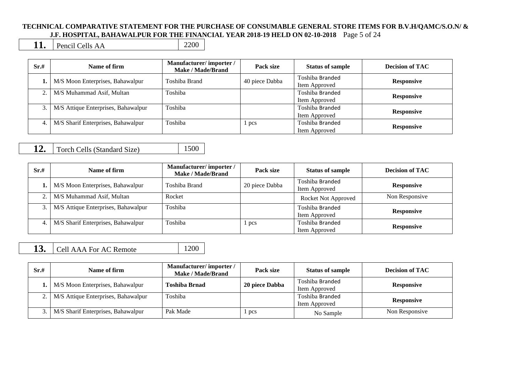#### **TECHNICAL COMPARATIVE STATEMENT FOR THE PURCHASE OF CONSUMABLE GENERAL STORE ITEMS FOR B.V.H/QAMC/S.O.N/ & J.F. HOSPITAL, BAHAWALPUR FOR THE FINANCIAL YEAR 2018-19 HELD ON 02-10-2018** Page 5 of 24

**11.** Pencil Cells AA 2200

| Sr.# | Name of firm                        | Manufacturer/importer/<br><b>Make / Made/Brand</b> | Pack size      | <b>Status of sample</b>          | <b>Decision of TAC</b> |
|------|-------------------------------------|----------------------------------------------------|----------------|----------------------------------|------------------------|
|      | M/S Moon Enterprises, Bahawalpur    | Toshiba Brand                                      | 40 piece Dabba | Toshiba Branded<br>Item Approved | <b>Responsive</b>      |
|      | M/S Muhammad Asif, Multan           | Toshiba                                            |                | Toshiba Branded<br>Item Approved | <b>Responsive</b>      |
|      | M/S Attique Enterprises, Bahawalpur | Toshiba                                            |                | Toshiba Branded<br>Item Approved | <b>Responsive</b>      |
| 4.   | M/S Sharif Enterprises, Bahawalpur  | Toshiba                                            | $\sqrt{1}$ pcs | Toshiba Branded<br>Item Approved | <b>Responsive</b>      |

**12.** Torch Cells (Standard Size) 1500

| Sr.# | Name of firm                        | Manufacturer/importer/<br>Make / Made/Brand | Pack size      | <b>Status of sample</b>          | <b>Decision of TAC</b> |
|------|-------------------------------------|---------------------------------------------|----------------|----------------------------------|------------------------|
|      | M/S Moon Enterprises, Bahawalpur    | Toshiba Brand                               | 20 piece Dabba | Toshiba Branded<br>Item Approved | <b>Responsive</b>      |
| 2.   | M/S Muhammad Asif, Multan           | Rocket                                      |                | <b>Rocket Not Approved</b>       | Non Responsive         |
|      | M/S Attique Enterprises, Bahawalpur | Toshiba                                     |                | Toshiba Branded<br>Item Approved | <b>Responsive</b>      |
|      | M/S Sharif Enterprises, Bahawalpur  | Toshiba                                     | pcs            | Toshiba Branded<br>Item Approved | <b>Responsive</b>      |

## **13.** Cell AAA For AC Remote 1200

| Sr.# | Name of firm                        | Manufacturer/importer/<br>Make / Made/Brand | Pack size      | <b>Status of sample</b>          | <b>Decision of TAC</b> |
|------|-------------------------------------|---------------------------------------------|----------------|----------------------------------|------------------------|
|      | M/S Moon Enterprises, Bahawalpur    | <b>Toshiba Brnad</b>                        | 20 piece Dabba | Toshiba Branded<br>Item Approved | <b>Responsive</b>      |
|      | M/S Attique Enterprises, Bahawalpur | Toshiba                                     |                | Toshiba Branded<br>Item Approved | <b>Responsive</b>      |
|      | M/S Sharif Enterprises, Bahawalpur  | Pak Made                                    | pcs            | No Sample                        | Non Responsive         |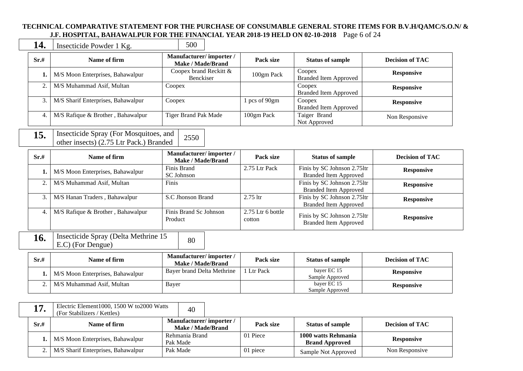#### **TECHNICAL COMPARATIVE STATEMENT FOR THE PURCHASE OF CONSUMABLE GENERAL STORE ITEMS FOR B.V.H/QAMC/S.O.N/ & J.F. HOSPITAL, BAHAWALPUR FOR THE FINANCIAL YEAR 2018-19 HELD ON 02-10-2018** Page 6 of 24

**14.** Insecticide Powder 1 Kg. 500

| Sr.# | Name of firm                       | Manufacturer/importer/<br>Make / Made/Brand | Pack size     | <b>Status of sample</b>                | <b>Decision of TAC</b> |
|------|------------------------------------|---------------------------------------------|---------------|----------------------------------------|------------------------|
|      | M/S Moon Enterprises, Bahawalpur   | Coopex brand Reckitt &<br><b>Benckiser</b>  | 100gm Pack    | Coopex<br><b>Branded Item Approved</b> | <b>Responsive</b>      |
|      | M/S Muhammad Asif, Multan          | Coopex                                      |               | Coopex<br><b>Branded Item Approved</b> | <b>Responsive</b>      |
|      | M/S Sharif Enterprises, Bahawalpur | Coopex                                      | l pcs of 90gm | Coopex<br><b>Branded Item Approved</b> | <b>Responsive</b>      |
| 4.   | M/S Rafique & Brother, Bahawalpur  | Tiger Brand Pak Made                        | 100gm Pack    | Taiger Brand<br>Not Approved           | Non Responsive         |

#### 15. Insecticide Spray (For Mosquitoes, and msecticide Spray (For Mosquitoes, and  $\left(2550\right)$  2550

| Sr.#   | Name of firm                      | Manufacturer/importer/<br>Make / Made/Brand | Pack size                     | <b>Status of sample</b>                                     | <b>Decision of TAC</b> |
|--------|-----------------------------------|---------------------------------------------|-------------------------------|-------------------------------------------------------------|------------------------|
|        | M/S Moon Enterprises, Bahawalpur  | Finis Brand<br><b>SC</b> Johnson            | 2.75 Ltr Pack                 | Finis by SC Johnson 2.75ltr<br><b>Branded Item Approved</b> | <b>Responsive</b>      |
| $\sim$ | M/S Muhammad Asif, Multan         | Finis                                       |                               | Finis by SC Johnson 2.75ltr<br><b>Branded Item Approved</b> | <b>Responsive</b>      |
| 3.     | M/S Hanan Traders, Bahawalpur     | S.C. Jhonson Brand                          | $2.75$ ltr                    | Finis by SC Johnson 2.75ltr<br><b>Branded Item Approved</b> | <b>Responsive</b>      |
|        | M/S Rafique & Brother, Bahawalpur | Finis Brand Sc Johnson<br>Product           | $2.75$ Ltr 6 bottle<br>cotton | Finis by SC Johnson 2.75ltr<br><b>Branded Item Approved</b> | <b>Responsive</b>      |

16. Insecticide Spray (Delta Methrine 15 E.C) (For Dengue) 80

| Sr.# | Name of firm                     | Manufacturer/importer/<br>Make / Made/Brand | Pack size | <b>Status of sample</b>        | <b>Decision of TAC</b> |
|------|----------------------------------|---------------------------------------------|-----------|--------------------------------|------------------------|
|      | M/S Moon Enterprises, Bahawalpur | Baver brand Delta Methrine                  | Ltr Pack  | bayer EC 15<br>Sample Approved | <b>Responsive</b>      |
|      | M/S Muhammad Asif. Multan        | Bayer                                       |           | bayer EC 15<br>Sample Approved | <b>Responsive</b>      |

| 17<br>17 | Electric Element1000, 1500 W to 2000 Watts<br>(For Stabilizers / Kettles) | 40                                                 |           |                                              |                        |
|----------|---------------------------------------------------------------------------|----------------------------------------------------|-----------|----------------------------------------------|------------------------|
| Sr.#     | Name of firm                                                              | Manufacturer/importer/<br><b>Make / Made/Brand</b> | Pack size | <b>Status of sample</b>                      | <b>Decision of TAC</b> |
|          | M/S Moon Enterprises, Bahawalpur                                          | Rehmania Brand<br>Pak Made                         | 01 Piece  | 1000 watts Rehmania<br><b>Brand Approved</b> | <b>Responsive</b>      |
|          | M/S Sharif Enterprises, Bahawalpur                                        | Pak Made                                           | 01 piece  | Sample Not Approved                          | Non Responsive         |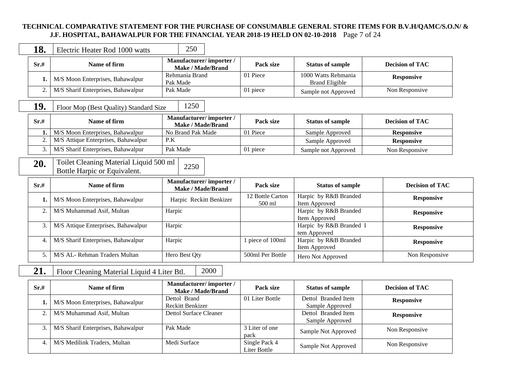#### **TECHNICAL COMPARATIVE STATEMENT FOR THE PURCHASE OF CONSUMABLE GENERAL STORE ITEMS FOR B.V.H/QAMC/S.O.N/ & J.F. HOSPITAL, BAHAWALPUR FOR THE FINANCIAL YEAR 2018-19 HELD ON 02-10-2018** Page 7 of 24

| 18.  | Electric Heater Rod 1000 watts                                         | 250                                                |                            |                                              |                        |
|------|------------------------------------------------------------------------|----------------------------------------------------|----------------------------|----------------------------------------------|------------------------|
| Sr.# | Name of firm                                                           | Manufacturer/importer/<br>Make / Made/Brand        | Pack size                  | <b>Status of sample</b>                      | <b>Decision of TAC</b> |
| 1.   | M/S Moon Enterprises, Bahawalpur                                       | Rehmania Brand<br>Pak Made                         | 01 Piece                   | 1000 Watts Rehmania<br><b>Brand Eligible</b> | <b>Responsive</b>      |
| 2.   | M/S Sharif Enterprises, Bahawalpur                                     | Pak Made                                           | 01 piece                   | Sample not Approved                          | Non Responsive         |
| 19.  | Floor Mop (Best Quality) Standard Size                                 | 1250                                               |                            |                                              |                        |
| Sr.# | Name of firm                                                           | Manufacturer/importer/<br><b>Make / Made/Brand</b> | Pack size                  | <b>Status of sample</b>                      | <b>Decision of TAC</b> |
| 1.   | M/S Moon Enterprises, Bahawalpur                                       | No Brand Pak Made                                  | 01 Piece                   | Sample Approved                              | <b>Responsive</b>      |
| 2.   | M/S Attique Enterprises, Bahawalpur                                    | P.K                                                |                            | Sample Approved                              | <b>Responsive</b>      |
| 3.   | M/S Sharif Enterprises, Bahawalpur                                     | Pak Made                                           | 01 piece                   | Sample not Approved                          | Non Responsive         |
| 20.  | Toilet Cleaning Material Liquid 500 ml<br>Bottle Harpic or Equivalent. | 2250                                               |                            |                                              |                        |
| Sr.# | Name of firm                                                           | Manufacturer/importer/<br><b>Make / Made/Brand</b> | Pack size                  | <b>Status of sample</b>                      | <b>Decision of TAC</b> |
| 1.   | M/S Moon Enterprises, Bahawalpur                                       | Harpic Reckitt Benkizer                            | 12 Bottle Carton<br>500 ml | Harpic by R&B Branded<br>Item Approved       | <b>Responsive</b>      |
| 2.   | M/S Muhammad Asif, Multan                                              | Harpic                                             |                            | Harpic by R&B Branded<br>Item Approved       | <b>Responsive</b>      |
| 3.   | M/S Attique Enterprises, Bahawalpur                                    | Harpic                                             |                            | Harpic by R&B Branded I<br>tem Approved      | <b>Responsive</b>      |
| 4.   | M/S Sharif Enterprises, Bahawalpur                                     | Harpic                                             | 1 piece of 100ml           | Harpic by R&B Branded<br>Item Approved       | <b>Responsive</b>      |
| 5.   | M/S AL- Rehman Traders Multan                                          | Hero Best Qty                                      | 500ml Per Bottle           | Hero Not Approved                            | Non Responsive         |
| 21.  | Floor Cleaning Material Liquid 4 Liter Btl.                            | 2000                                               |                            |                                              |                        |
| Sr.# | Name of firm                                                           | Manufacturer/importer/<br><b>Make / Made/Brand</b> | Pack size                  | <b>Status of sample</b>                      | <b>Decision of TAC</b> |
| 1.   | M/S Moon Enterprises, Bahawalpur                                       | Dettol Brand<br>Reckitt Benkizer                   | 01 Liter Bottle            | Dettol Branded Item<br>Sample Approved       | <b>Responsive</b>      |
| 2.   | M/S Muhammad Asif, Multan                                              | <b>Dettol Surface Cleaner</b>                      |                            | Dettol Branded Item<br>Sample Approved       | <b>Responsive</b>      |

3 Liter of one<br>
pack Sample Not Approved Non Responsive<br>
Single Pack 4 Sample Net Approved Non Responsive

Single Pack 4 Sample Not Approved Non Responsive

3. M/S Sharif Enterprises, Bahawalpur Pak Made 3 Liter of one pack

4. M/S Medilink Traders, Multan Medi Surface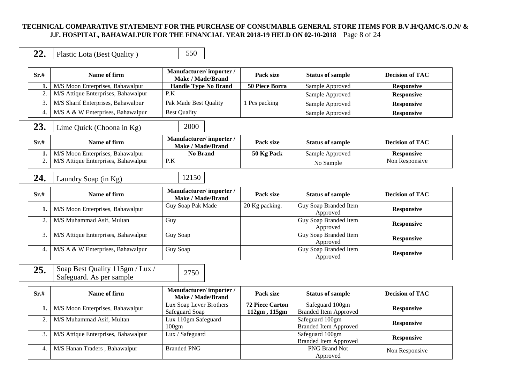#### **TECHNICAL COMPARATIVE STATEMENT FOR THE PURCHASE OF CONSUMABLE GENERAL STORE ITEMS FOR B.V.H/QAMC/S.O.N/ & J.F. HOSPITAL, BAHAWALPUR FOR THE FINANCIAL YEAR 2018-19 HELD ON 02-10-2018** Page 8 of 24

|  | Plastic Lota (Best Quality) |  |
|--|-----------------------------|--|
|--|-----------------------------|--|

| Sr.# | Name of firm                        | Manufacturer/importer/<br>Make / Made/Brand | Pack size             | <b>Status of sample</b> | <b>Decision of TAC</b> |
|------|-------------------------------------|---------------------------------------------|-----------------------|-------------------------|------------------------|
|      | M/S Moon Enterprises, Bahawalpur    | <b>Handle Type No Brand</b>                 | <b>50 Piece Borra</b> | Sample Approved         | <b>Responsive</b>      |
|      | M/S Attique Enterprises, Bahawalpur | P.K                                         |                       | Sample Approved         | <b>Responsive</b>      |
|      | M/S Sharif Enterprises, Bahawalpur  | Pak Made Best Quality                       | Pes packing           | Sample Approved         | <b>Responsive</b>      |
|      | M/S A & W Enterprises, Bahawalpur   | <b>Best Quality</b>                         |                       | Sample Approved         | <b>Responsive</b>      |

# **23.** Lime Quick (Choona in Kg) 2000

| Sr.# | Name of firm                        | <b>Manufacturer/importer/</b><br>Make / Made/Brand | Pack size  | <b>Status of sample</b> | <b>Decision of TAC</b> |
|------|-------------------------------------|----------------------------------------------------|------------|-------------------------|------------------------|
|      | M/S Moon Enterprises, Bahawalpur    | No Brand                                           | 50 Kg Pack | Sample Approved         | <b>Responsive</b>      |
|      | M/S Attique Enterprises, Bahawalpur | P.K                                                |            | No Sample               | Non Responsive         |

**24.** Laundry Soap (in Kg) 12150

| Sr.# | Name of firm                              | Manufacturer/importer/<br>Make / Made/Brand | Pack size      | <b>Status of sample</b>           | <b>Decision of TAC</b> |
|------|-------------------------------------------|---------------------------------------------|----------------|-----------------------------------|------------------------|
|      | M/S Moon Enterprises, Bahawalpur          | Guy Soap Pak Made                           | 20 Kg packing. | Guy Soap Branded Item<br>Approved | <b>Responsive</b>      |
| 2.   | M/S Muhammad Asif, Multan                 | Guy                                         |                | Guy Soap Branded Item<br>Approved | <b>Responsive</b>      |
|      | 3.   M/S Attique Enterprises, Bahawalpur  | Guy Soap                                    |                | Guy Soap Branded Item<br>Approved | <b>Responsive</b>      |
| 4.   | $\vert$ M/S A & W Enterprises, Bahawalpur | Guy Soap                                    |                | Guy Soap Branded Item<br>Approved | <b>Responsive</b>      |

25. Soap Best Quality 115gm / Lux / Soap Best Quanty 115gm / Lux / 2750<br>Safeguard. As per sample

| Sr.# | Name of firm                        | Manufacturer/importer/<br>Make / Made/Brand | Pack size              | <b>Status of sample</b>      | <b>Decision of TAC</b> |  |
|------|-------------------------------------|---------------------------------------------|------------------------|------------------------------|------------------------|--|
|      | M/S Moon Enterprises, Bahawalpur    | Lux Soap Lever Brothers                     | <b>72 Piece Carton</b> | Safeguard 100gm              | <b>Responsive</b>      |  |
|      |                                     | Safeguard Soap                              | 112gm, 115gm           | <b>Branded Item Approved</b> |                        |  |
|      | M/S Muhammad Asif, Multan           | Lux 110gm Safeguard                         |                        | Safeguard 100gm              | <b>Responsive</b>      |  |
|      |                                     | $100$ gm                                    |                        | <b>Branded Item Approved</b> |                        |  |
|      | M/S Attique Enterprises, Bahawalpur | Lux / Safeguard                             |                        | Safeguard 100gm              |                        |  |
|      |                                     |                                             |                        | <b>Branded Item Approved</b> | <b>Responsive</b>      |  |
|      | M/S Hanan Traders, Bahawalpur       | <b>Branded PNG</b>                          |                        | <b>PNG Brand Not</b>         | Non Responsive         |  |
|      |                                     |                                             |                        | Approved                     |                        |  |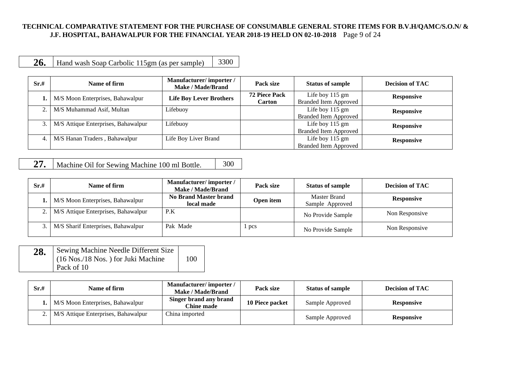#### **TECHNICAL COMPARATIVE STATEMENT FOR THE PURCHASE OF CONSUMABLE GENERAL STORE ITEMS FOR B.V.H/QAMC/S.O.N/ & J.F. HOSPITAL, BAHAWALPUR FOR THE FINANCIAL YEAR 2018-19 HELD ON 02-10-2018** Page 9 of 24

**26.** Hand wash Soap Carbolic 115gm (as per sample) 3300

| Sr.# | Name of firm                        | Manufacturer/importer/<br><b>Make / Made/Brand</b> | Pack size                             | <b>Status of sample</b>                         | <b>Decision of TAC</b> |
|------|-------------------------------------|----------------------------------------------------|---------------------------------------|-------------------------------------------------|------------------------|
|      | M/S Moon Enterprises, Bahawalpur    | <b>Life Boy Lever Brothers</b>                     | <b>72 Piece Pack</b><br><b>Carton</b> | Life boy 115 gm<br><b>Branded Item Approved</b> | <b>Responsive</b>      |
|      | M/S Muhammad Asif, Multan           | Lifebuoy                                           |                                       | Life boy 115 gm<br><b>Branded Item Approved</b> | <b>Responsive</b>      |
| 3.1  | M/S Attique Enterprises, Bahawalpur | Lifebuoy                                           |                                       | Life boy 115 gm<br><b>Branded Item Approved</b> | <b>Responsive</b>      |
|      | M/S Hanan Traders, Bahawalpur       | Life Boy Liver Brand                               |                                       | Life boy 115 gm<br><b>Branded Item Approved</b> | <b>Responsive</b>      |

**27.** Machine Oil for Sewing Machine 100 ml Bottle. 300

| Sr.# | Name of firm                               | Manufacturer/importer/<br>Make / Made/Brand | Pack size | <b>Status of sample</b>         | <b>Decision of TAC</b> |
|------|--------------------------------------------|---------------------------------------------|-----------|---------------------------------|------------------------|
|      | <b>1.</b> M/S Moon Enterprises, Bahawalpur | <b>No Brand Master brand</b><br>local made  | Open item | Master Brand<br>Sample Approved | <b>Responsive</b>      |
|      | 2.   M/S Attique Enterprises, Bahawalpur   | P.K                                         |           | No Provide Sample               | Non Responsive         |
|      | M/S Sharif Enterprises, Bahawalpur         | Pak Made                                    | pcs       | No Provide Sample               | Non Responsive         |

| 28. | Sewing Machine Needle Different Size |     |
|-----|--------------------------------------|-----|
|     | (16 Nos./18 Nos.) for Juki Machine   | 100 |
|     | Pack of 10                           |     |

| Sr.# | Name of firm                               | Manufacturer/importer/<br>Make / Made/Brand | Pack size       | <b>Status of sample</b> | <b>Decision of TAC</b> |
|------|--------------------------------------------|---------------------------------------------|-----------------|-------------------------|------------------------|
|      | <b>1.</b> M/S Moon Enterprises, Bahawalpur | Singer brand any brand<br>Chine made        | 10 Piece packet | Sample Approved         | <b>Responsive</b>      |
|      | 2.   M/S Attique Enterprises, Bahawalpur   | China imported                              |                 | Sample Approved         | <b>Responsive</b>      |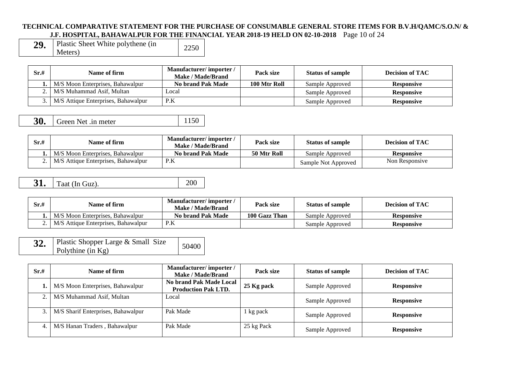#### **TECHNICAL COMPARATIVE STATEMENT FOR THE PURCHASE OF CONSUMABLE GENERAL STORE ITEMS FOR B.V.H/QAMC/S.O.N/ & J.F. HOSPITAL, BAHAWALPUR FOR THE FINANCIAL YEAR 2018-19 HELD ON 02-10-2018** Page 10 of 24

| 29. | Plastic Sheet White polythene (in | 2250 |
|-----|-----------------------------------|------|
|     | Meters)                           |      |

| Sr.# | Name of firm                        | Manufacturer/importer/<br><b>Make / Made/Brand</b> | Pack size    | <b>Status of sample</b> | Decision of TAC   |
|------|-------------------------------------|----------------------------------------------------|--------------|-------------------------|-------------------|
|      | M/S Moon Enterprises, Bahawalpur    | No brand Pak Made                                  | 100 Mtr Roll | Sample Approved         | <b>Responsive</b> |
|      | M/S Muhammad Asif, Multan           | ocal                                               |              | Sample Approved         | <b>Responsive</b> |
|      | M/S Attique Enterprises, Bahawalpur | P.K                                                |              | Sample Approved         | <b>Responsive</b> |

| 30. | Green Net .in meter | 1150 |
|-----|---------------------|------|
|-----|---------------------|------|

| Sr.# | Name of firm                        | Manufacturer/importer/<br>Make / Made/Brand | Pack size   | <b>Status of sample</b> | Decision of TAC   |
|------|-------------------------------------|---------------------------------------------|-------------|-------------------------|-------------------|
|      | M/S Moon Enterprises, Bahawalpur    | No brand Pak Made                           | 50 Mtr Roll | Sample Approved         | <b>Responsive</b> |
|      | M/S Attique Enterprises, Bahawalpur | P.K                                         |             | Sample Not Approved     | Non Responsive    |

| 31<br>J. | Taat (In Guz). |  |
|----------|----------------|--|
|          |                |  |

| Sr.# | Name of firm                        | <b>Manufacturer/importer/</b><br>Make / Made/Brand | Pack size     | <b>Status of sample</b> | Decision of TAC   |
|------|-------------------------------------|----------------------------------------------------|---------------|-------------------------|-------------------|
|      | M/S Moon Enterprises, Bahawalpur    | No brand Pak Made                                  | 100 Gazz Than | Sample Approved         | <b>Responsive</b> |
|      | M/S Attique Enterprises, Bahawalpur | P.K                                                |               | Sample Approved         | <b>Responsive</b> |

| 32. | Plastic Shopper Large & Small Size | 50400 |
|-----|------------------------------------|-------|
|     | Polythine (in $Kg$ )               |       |

| Sr.# | Name of firm                       | Manufacturer/importer/<br>Make / Made/Brand           | Pack size  | <b>Status of sample</b> | <b>Decision of TAC</b> |
|------|------------------------------------|-------------------------------------------------------|------------|-------------------------|------------------------|
|      | M/S Moon Enterprises, Bahawalpur   | No brand Pak Made Local<br><b>Production Pak LTD.</b> | 25 Kg pack | Sample Approved         | <b>Responsive</b>      |
| 2.   | M/S Muhammad Asif, Multan          | Local                                                 |            | Sample Approved         | <b>Responsive</b>      |
| 3.1  | M/S Sharif Enterprises, Bahawalpur | Pak Made                                              | 1 kg pack  | Sample Approved         | <b>Responsive</b>      |
|      | M/S Hanan Traders, Bahawalpur      | Pak Made                                              | 25 kg Pack | Sample Approved         | <b>Responsive</b>      |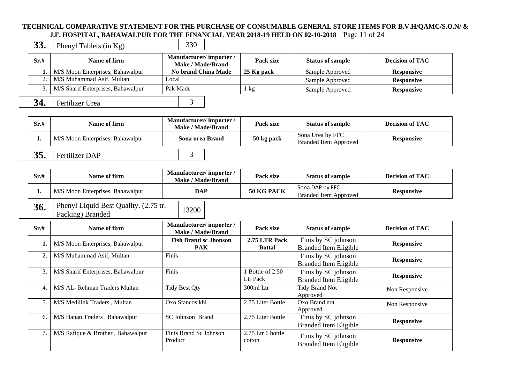### **TECHNICAL COMPARATIVE STATEMENT FOR THE PURCHASE OF CONSUMABLE GENERAL STORE ITEMS FOR B.V.H/QAMC/S.O.N/ & J.F. HOSPITAL, BAHAWALPUR FOR THE FINANCIAL YEAR 2018-19 HELD ON 02-10-2018** Page 11 of 24

**33.** Phenyl Tablets (in Kg) 330

| Sr.# | Name of firm                            | Manufacturer/importer/<br><b>Make / Made/Brand</b> | Pack size  | <b>Status of sample</b> | <b>Decision of TAC</b> |
|------|-----------------------------------------|----------------------------------------------------|------------|-------------------------|------------------------|
|      | M/S Moon Enterprises, Bahawalpur        | <b>No brand China Made</b>                         | 25 Kg pack | Sample Approved         | <b>Responsive</b>      |
|      | 2. M/S Muhammad Asif, Multan            | Local                                              |            | Sample Approved         | <b>Responsive</b>      |
|      | 3.   M/S Sharif Enterprises, Bahawalpur | Pak Made                                           | kg         | Sample Approved         | <b>Responsive</b>      |
| 34.  | Fertilizer Urea                         |                                                    |            |                         |                        |

| Sr.# | Name of firm                     | Manufacturer/importer/<br>Make / Made/Brand | Pack size  | <b>Status of sample</b>                   | <b>Decision of TAC</b> |
|------|----------------------------------|---------------------------------------------|------------|-------------------------------------------|------------------------|
| . .  | M/S Moon Enterprises, Bahawalpur | Sona urea Brand                             | 50 kg pack | Sona Urea by FFC<br>Branded Item Approved | <b>Responsive</b>      |
| 35.  | Fertilizer DAP                   |                                             |            |                                           |                        |

| Sr.#             | Name of firm                                              | Manufacturer/importer/<br>Make / Made/Brand        | Pack size                      | <b>Status of sample</b>                             | <b>Decision of TAC</b> |
|------------------|-----------------------------------------------------------|----------------------------------------------------|--------------------------------|-----------------------------------------------------|------------------------|
| 1.               | M/S Moon Enterprises, Bahawalpur                          | <b>DAP</b>                                         | 50 KG PACK                     | Sona DAP by FFC<br><b>Branded Item Approved</b>     | <b>Responsive</b>      |
| 36.              | Phenyl Liquid Best Quality. (2.75 tr.<br>Packing) Branded | 13200                                              |                                |                                                     |                        |
| Sr.#             | Name of firm                                              | Manufacturer/importer/<br><b>Make / Made/Brand</b> | Pack size                      | <b>Status of sample</b>                             | <b>Decision of TAC</b> |
|                  | M/S Moon Enterprises, Bahawalpur                          | <b>Fish Brand sc Jhonson</b><br><b>PAK</b>         | 2.75 LTR Pack<br><b>Bottal</b> | Finis by SC johnson<br><b>Branded Item Eligible</b> | <b>Responsive</b>      |
| $\overline{2}$ . | M/S Muhammad Asif, Multan                                 | Finis                                              |                                | Finis by SC johnson<br><b>Branded Item Eligible</b> | <b>Responsive</b>      |
| 3.               | M/S Sharif Enterprises, Bahawalpur                        | Finis                                              | 1 Bottle of 2.50<br>Ltr Pack   | Finis by SC johnson<br><b>Branded Item Eligible</b> | <b>Responsive</b>      |
| 4.               | M/S AL- Rehman Traders Multan                             | <b>Tidy Best Qty</b>                               | 300ml Ltr                      | <b>Tidy Brand Not</b><br>Approved                   | Non Responsive         |
| 5.               | M/S Medilink Traders, Multan                              | Oxo Stancos khi                                    | 2.75 Liter Bottle              | Oxo Brand not<br>Approved                           | Non Responsive         |
| 6.               | M/S Hanan Traders, Bahawalpur                             | SC Johnson Brand                                   | 2.75 Liter Bottle              | Finis by SC johnson<br><b>Branded Item Eligible</b> | <b>Responsive</b>      |
| 7.               | M/S Rafique & Brother, Bahawalpur                         | Finis Brand Sc Johnson<br>Product                  | $2.75$ Ltr 6 bottle<br>cotton  | Finis by SC johnson<br><b>Branded Item Eligible</b> | <b>Responsive</b>      |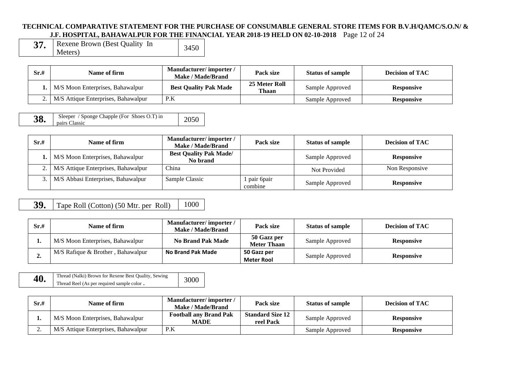#### **TECHNICAL COMPARATIVE STATEMENT FOR THE PURCHASE OF CONSUMABLE GENERAL STORE ITEMS FOR B.V.H/QAMC/S.O.N/ & J.F. HOSPITAL, BAHAWALPUR FOR THE FINANCIAL YEAR 2018-19 HELD ON 02-10-2018** Page 12 of 24

| Rexene Brown (Best Quality In | 3450 |
|-------------------------------|------|
| Meters)                       |      |

| Sr.# | Name of firm                               | Manufacturer/importer/<br>Make / Made/Brand | Pack size              | <b>Status of sample</b> | <b>Decision of TAC</b> |
|------|--------------------------------------------|---------------------------------------------|------------------------|-------------------------|------------------------|
|      | <b>1.</b> M/S Moon Enterprises, Bahawalpur | <b>Best Quality Pak Made</b>                | 25 Meter Roll<br>Thaan | Sample Approved         | <b>Responsive</b>      |
|      | 2.   M/S Attique Enterprises, Bahawalpur   | P.K                                         |                        | Sample Approved         | <b>Responsive</b>      |

| 38. | Sleeper / Sponge Chapple (For Shoes O.T) in<br>pairs Classic | 2050 |
|-----|--------------------------------------------------------------|------|
|-----|--------------------------------------------------------------|------|

| Sr.# | Name of firm                               | Manufacturer/importer/<br><b>Make / Made/Brand</b> | Pack size               | <b>Status of sample</b> | <b>Decision of TAC</b> |
|------|--------------------------------------------|----------------------------------------------------|-------------------------|-------------------------|------------------------|
|      | <b>1.</b> M/S Moon Enterprises, Bahawalpur | <b>Best Quality Pak Made/</b><br>No brand          |                         | Sample Approved         | <b>Responsive</b>      |
|      | 2.   M/S Attique Enterprises, Bahawalpur   | China                                              |                         | Not Provided            | Non Responsive         |
|      | 3.   M/S Abbasi Enterprises, Bahawalpur    | Sample Classic                                     | l pair 6pair<br>combine | Sample Approved         | <b>Responsive</b>      |

# **39.** Tape Roll (Cotton) (50 Mtr. per Roll) 1000

| Sr.#    | Name of firm                      | Manufacturer/importer/<br>Make / Made/Brand | Pack size                         | <b>Status of sample</b> | <b>Decision of TAC</b> |
|---------|-----------------------------------|---------------------------------------------|-----------------------------------|-------------------------|------------------------|
| . .     | M/S Moon Enterprises, Bahawalpur  | <b>No Brand Pak Made</b>                    | 50 Gazz per<br><b>Meter Thaan</b> | Sample Approved         | <b>Responsive</b>      |
| ́<br>∸∙ | M/S Rafique & Brother, Bahawalpur | <b>No Brand Pak Made</b>                    | 50 Gazz per<br>Meter Rool         | Sample Approved         | <b>Responsive</b>      |

| 40. | Thread (Nalki) Brown for Rexene Best Quality, Sewing | 3000 |
|-----|------------------------------------------------------|------|
|     | Thread Reel (As per required sample color.           |      |

| Sr.# | Name of firm                        | Manufacturer/importer/<br>Make / Made/Brand  | Pack size                            | <b>Status of sample</b> | <b>Decision of TAC</b> |
|------|-------------------------------------|----------------------------------------------|--------------------------------------|-------------------------|------------------------|
| . .  | M/S Moon Enterprises, Bahawalpur    | <b>Football any Brand Pak</b><br><b>MADE</b> | <b>Standard Size 12</b><br>reel Pack | Sample Approved         | <b>Responsive</b>      |
| ∼.   | M/S Attique Enterprises, Bahawalpur | P.K                                          |                                      | Sample Approved         | <b>Responsive</b>      |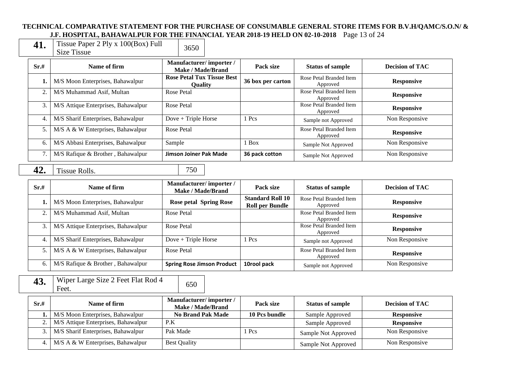#### **TECHNICAL COMPARATIVE STATEMENT FOR THE PURCHASE OF CONSUMABLE GENERAL STORE ITEMS FOR B.V.H/QAMC/S.O.N/ & J.F. HOSPITAL, BAHAWALPUR FOR THE FINANCIAL YEAR 2018-19 HELD ON 02-10-2018** Page 13 of 24

| 41. | Tissue Paper 2 Ply x $100(Box)$ Full | 3650 |
|-----|--------------------------------------|------|
|     | Size Tissue                          |      |

**2 Ply x 100(Box) Full** 

| Sr.# | Name of firm                        | Manufacturer/importer/<br>Make / Made/Brand         | Pack size         | <b>Status of sample</b>             | <b>Decision of TAC</b> |
|------|-------------------------------------|-----------------------------------------------------|-------------------|-------------------------------------|------------------------|
|      | M/S Moon Enterprises, Bahawalpur    | <b>Rose Petal Tux Tissue Best</b><br><b>Ouality</b> | 36 box per carton | Rose Petal Branded Item<br>Approved | <b>Responsive</b>      |
| 2.   | M/S Muhammad Asif, Multan           | Rose Petal                                          |                   | Rose Petal Branded Item<br>Approved | <b>Responsive</b>      |
| 3.   | M/S Attique Enterprises, Bahawalpur | Rose Petal                                          |                   | Rose Petal Branded Item<br>Approved | <b>Responsive</b>      |
| 4.   | M/S Sharif Enterprises, Bahawalpur  | $Dove + Triple Horse$                               | 1 Pcs             | Sample not Approved                 | Non Responsive         |
| 5.   | M/S A & W Enterprises, Bahawalpur   | Rose Petal                                          |                   | Rose Petal Branded Item<br>Approved | <b>Responsive</b>      |
| 6.   | M/S Abbasi Enterprises, Bahawalpur  | Sample                                              | Box               | Sample Not Approved                 | Non Responsive         |
| 7.   | M/S Rafique & Brother, Bahawalpur   | Jimson Joiner Pak Made                              | 36 pack cotton    | Sample Not Approved                 | Non Responsive         |

## **42.** Tissue Rolls. 750

| Sr.# | Name of firm                        | Manufacturer/importer/<br>Make / Made/Brand | Pack size                                         | <b>Status of sample</b>             | <b>Decision of TAC</b> |
|------|-------------------------------------|---------------------------------------------|---------------------------------------------------|-------------------------------------|------------------------|
|      | M/S Moon Enterprises, Bahawalpur    | <b>Rose petal Spring Rose</b>               | <b>Standard Roll 10</b><br><b>Roll per Bundle</b> | Rose Petal Branded Item<br>Approved | <b>Responsive</b>      |
| 2.   | M/S Muhammad Asif, Multan           | Rose Petal                                  |                                                   | Rose Petal Branded Item<br>Approved | <b>Responsive</b>      |
| 3.   | M/S Attique Enterprises, Bahawalpur | Rose Petal                                  |                                                   | Rose Petal Branded Item<br>Approved | <b>Responsive</b>      |
|      | M/S Sharif Enterprises, Bahawalpur  | $Dove + Triple Horse$                       | 1 Pcs                                             | Sample not Approved                 | Non Responsive         |
| 5.   | M/S A & W Enterprises, Bahawalpur   | Rose Petal                                  |                                                   | Rose Petal Branded Item<br>Approved | <b>Responsive</b>      |
| 6.   | M/S Rafique & Brother, Bahawalpur   | <b>Spring Rose Jimson Product</b>           | 10rool pack                                       | Sample not Approved                 | Non Responsive         |

**43.** Wiper Large Size 2 Feet Flat Rod 4  $\left\{ \right.$  650

| Sr.# | Name of firm                             | Manufacturer/importer/<br>Make / Made/Brand | Pack size     | <b>Status of sample</b> | <b>Decision of TAC</b> |
|------|------------------------------------------|---------------------------------------------|---------------|-------------------------|------------------------|
|      | M/S Moon Enterprises, Bahawalpur         | <b>No Brand Pak Made</b>                    | 10 Pcs bundle | Sample Approved         | <b>Responsive</b>      |
|      | 2.   M/S Attique Enterprises, Bahawalpur | P.K                                         |               | Sample Approved         | <b>Responsive</b>      |
|      | 3.   M/S Sharif Enterprises, Bahawalpur  | Pak Made                                    | <b>Pcs</b>    | Sample Not Approved     | Non Responsive         |
|      | 4.   M/S A & W Enterprises, Bahawalpur   | <b>Best Quality</b>                         |               | Sample Not Approved     | Non Responsive         |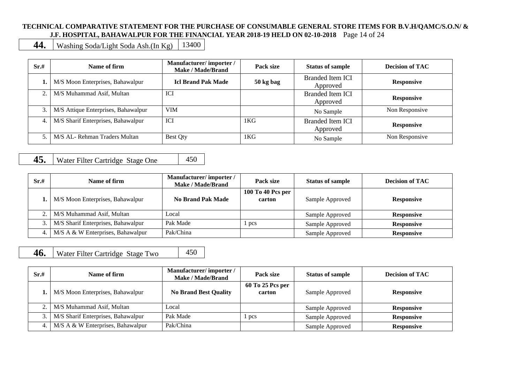#### **TECHNICAL COMPARATIVE STATEMENT FOR THE PURCHASE OF CONSUMABLE GENERAL STORE ITEMS FOR B.V.H/QAMC/S.O.N/ & J.F. HOSPITAL, BAHAWALPUR FOR THE FINANCIAL YEAR 2018-19 HELD ON 02-10-2018** Page 14 of 24

**44.** Washing Soda/Light Soda Ash.(In Kg)  $\left| \right|$  13400

| Sr.#             | Name of firm                        | Manufacturer/importer/<br>Make / Made/Brand | Pack size | <b>Status of sample</b>             | <b>Decision of TAC</b> |
|------------------|-------------------------------------|---------------------------------------------|-----------|-------------------------------------|------------------------|
|                  | M/S Moon Enterprises, Bahawalpur    | <b>Icl Brand Pak Made</b>                   | 50 kg bag | <b>Branded Item ICI</b><br>Approved | <b>Responsive</b>      |
| 2.               | M/S Muhammad Asif, Multan           | ICI                                         |           | <b>Branded Item ICI</b><br>Approved | <b>Responsive</b>      |
| 3.1              | M/S Attique Enterprises, Bahawalpur | <b>VIM</b>                                  |           | No Sample                           | Non Responsive         |
| $\overline{4}$ . | M/S Sharif Enterprises, Bahawalpur  | ICI                                         | 1KG       | <b>Branded Item ICI</b><br>Approved | <b>Responsive</b>      |
| $\sim$           | M/S AL- Rehman Traders Multan       | <b>Best Qty</b>                             | 1KG       | No Sample                           | Non Responsive         |

## **45.** Water Filter Cartridge Stage One 450

| Sr.# | Name of firm                       | Manufacturer/importer/<br>Make / Made/Brand | Pack size                   | <b>Status of sample</b> | <b>Decision of TAC</b> |
|------|------------------------------------|---------------------------------------------|-----------------------------|-------------------------|------------------------|
|      | M/S Moon Enterprises, Bahawalpur   | <b>No Brand Pak Made</b>                    | 100 To 40 Pcs per<br>carton | Sample Approved         | <b>Responsive</b>      |
|      | M/S Muhammad Asif, Multan          | Local                                       |                             | Sample Approved         | <b>Responsive</b>      |
|      | M/S Sharif Enterprises, Bahawalpur | Pak Made                                    | pcs                         | Sample Approved         | <b>Responsive</b>      |
| 4.   | M/S A & W Enterprises, Bahawalpur  | Pak/China                                   |                             | Sample Approved         | <b>Responsive</b>      |

**46.** Water Filter Cartridge Stage Two 450

| Sr.# | Name of firm                       | Manufacturer/importer/<br><b>Make / Made/Brand</b> | Pack size                  | <b>Status of sample</b> | <b>Decision of TAC</b> |
|------|------------------------------------|----------------------------------------------------|----------------------------|-------------------------|------------------------|
|      | M/S Moon Enterprises, Bahawalpur   | <b>No Brand Best Quality</b>                       | 60 To 25 Pcs per<br>carton | Sample Approved         | <b>Responsive</b>      |
|      | M/S Muhammad Asif, Multan          | Local                                              |                            | Sample Approved         | <b>Responsive</b>      |
|      | M/S Sharif Enterprises, Bahawalpur | Pak Made                                           | pcs                        | Sample Approved         | <b>Responsive</b>      |
|      | M/S A & W Enterprises, Bahawalpur  | Pak/China                                          |                            | Sample Approved         | <b>Responsive</b>      |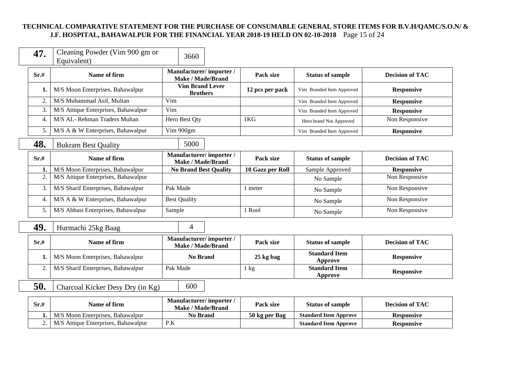#### **TECHNICAL COMPARATIVE STATEMENT FOR THE PURCHASE OF CONSUMABLE GENERAL STORE ITEMS FOR B.V.H/QAMC/S.O.N/ & J.F. HOSPITAL, BAHAWALPUR FOR THE FINANCIAL YEAR 2018-19 HELD ON 02-10-2018** Page 15 of 24

| 47.            | Cleaning Powder (Vim 900 gm or<br>Equivalent) | 3660                                               |                  |                                        |                        |
|----------------|-----------------------------------------------|----------------------------------------------------|------------------|----------------------------------------|------------------------|
| Sr.#           | Name of firm                                  | Manufacturer/importer/<br><b>Make / Made/Brand</b> | Pack size        | <b>Status of sample</b>                | <b>Decision of TAC</b> |
| 1.             | M/S Moon Enterprises, Bahawalpur              | <b>Vim Brand Lever</b><br><b>Brothers</b>          | 12 pcs per pack  | Vim Branded Item Approved              | <b>Responsive</b>      |
| $\overline{2}$ | M/S Muhammad Asif, Multan                     | Vim                                                |                  | Vim Branded Item Approved              | <b>Responsive</b>      |
| 3.             | M/S Attique Enterprises, Bahawalpur           | Vim                                                |                  | Vim Branded Item Approved              | <b>Responsive</b>      |
| $\overline{4}$ | M/S AL-Rehman Traders Multan                  | Hero Best Qty                                      | 1KG              | Hero brand Not Approved                | Non Responsive         |
| 5.             | M/S A & W Enterprises, Bahawalpur             | Vim 900gm                                          |                  | Vim Branded Item Approved              | <b>Responsive</b>      |
| 48.            | <b>Bukram Best Quality</b>                    | 5000                                               |                  |                                        |                        |
| Sr.#           | Name of firm                                  | Manufacturer/importer/<br><b>Make / Made/Brand</b> | Pack size        | <b>Status of sample</b>                | <b>Decision of TAC</b> |
| 1.             | M/S Moon Enterprises, Bahawalpur              | <b>No Brand Best Quality</b>                       | 10 Gazz per Roll | Sample Approved                        | <b>Responsive</b>      |
| $\overline{2}$ | M/S Attique Enterprises, Bahawalpur           |                                                    |                  | No Sample                              | Non Responsive         |
| 3.             | M/S Sharif Enterprises, Bahawalpur            | Pak Made                                           | 1 meter          | No Sample                              | Non Responsive         |
| $\overline{4}$ | M/S A & W Enterprises, Bahawalpur             | <b>Best Quality</b>                                |                  | No Sample                              | Non Responsive         |
| 5.             | M/S Abbasi Enterprises, Bahawalpur            | Sample                                             | 1 Rool           | No Sample                              | Non Responsive         |
| 49.            | Hurmachi 25kg Baag                            | 4                                                  |                  |                                        |                        |
| Sr.#           | Name of firm                                  | Manufacturer/importer/<br><b>Make / Made/Brand</b> | Pack size        | <b>Status of sample</b>                | <b>Decision of TAC</b> |
| 1.             | M/S Moon Enterprises, Bahawalpur              | <b>No Brand</b>                                    | 25 kg bag        | <b>Standard Item</b><br><b>Approve</b> | <b>Responsive</b>      |
| $\overline{2}$ | M/S Sharif Enterprises, Bahawalpur            | Pak Made                                           | $1 \text{ kg}$   | <b>Standard Item</b><br><b>Approve</b> | <b>Responsive</b>      |
| 50.            | Charcoal Kicker Desy Dry (in Kg)              | 600                                                |                  |                                        |                        |
| Sr.#           | Name of firm                                  | Manufacturer/importer/<br><b>Make / Made/Brand</b> | Pack size        | <b>Status of sample</b>                | <b>Decision of TAC</b> |
| 1.             | M/S Moon Enterprises, Bahawalpur              | <b>No Brand</b>                                    | 50 kg per Bag    | <b>Standard Item Approve</b>           | <b>Responsive</b>      |

2. M/S Attique Enterprises, Bahawalpur P.K **Standard Item Approve Responsive**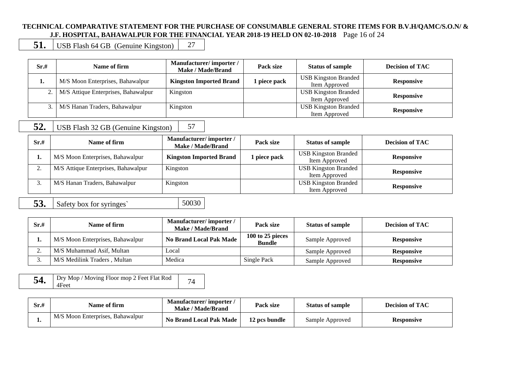#### **TECHNICAL COMPARATIVE STATEMENT FOR THE PURCHASE OF CONSUMABLE GENERAL STORE ITEMS FOR B.V.H/QAMC/S.O.N/ & J.F. HOSPITAL, BAHAWALPUR FOR THE FINANCIAL YEAR 2018-19 HELD ON 02-10-2018** Page 16 of 24

**51.** USB Flash 64 GB (Genuine Kingston) 27

| Sr.# | Name of firm                        | Manufacturer/importer/<br>Make / Made/Brand | Pack size    | <b>Status of sample</b>                      | <b>Decision of TAC</b> |
|------|-------------------------------------|---------------------------------------------|--------------|----------------------------------------------|------------------------|
| ı.   | M/S Moon Enterprises, Bahawalpur    | <b>Kingston Imported Brand</b>              | l piece pack | <b>USB Kingston Branded</b><br>Item Approved | <b>Responsive</b>      |
| 2.1  | M/S Attique Enterprises, Bahawalpur | Kingston                                    |              | <b>USB Kingston Branded</b><br>Item Approved | <b>Responsive</b>      |
|      | M/S Hanan Traders, Bahawalpur       | Kingston                                    |              | <b>USB Kingston Branded</b><br>Item Approved | <b>Responsive</b>      |

## **52.** USB Flash 32 GB (Genuine Kingston) 57

| Sr.# | Name of firm                        | Manufacturer/importer/<br>Make / Made/Brand | Pack size    | <b>Status of sample</b>                      | <b>Decision of TAC</b> |
|------|-------------------------------------|---------------------------------------------|--------------|----------------------------------------------|------------------------|
| ı.   | M/S Moon Enterprises, Bahawalpur    | <b>Kingston Imported Brand</b>              | l piece pack | <b>USB Kingston Branded</b><br>Item Approved | <b>Responsive</b>      |
|      | M/S Attique Enterprises, Bahawalpur | Kingston                                    |              | <b>USB Kingston Branded</b><br>Item Approved | <b>Responsive</b>      |
|      | M/S Hanan Traders, Bahawalpur       | Kingston                                    |              | <b>USB Kingston Branded</b><br>Item Approved | <b>Responsive</b>      |

**53.** Safety box for syringes 50030

| Sr.#    | Name of firm                     | Manufacturer/importer/<br>Make / Made/Brand | Pack size                         | <b>Status of sample</b> | <b>Decision of TAC</b> |
|---------|----------------------------------|---------------------------------------------|-----------------------------------|-------------------------|------------------------|
| .,      | M/S Moon Enterprises, Bahawalpur | <b>No Brand Local Pak Made</b>              | 100 to 25 pieces<br><b>Bundle</b> | Sample Approved         | <b>Responsive</b>      |
| ⌒<br>٠. | M/S Muhammad Asif, Multan        | Local                                       |                                   | Sample Approved         | <b>Responsive</b>      |
| J.      | M/S Medilink Traders . Multan    | Medica                                      | Single Pack                       | Sample Approved         | <b>Responsive</b>      |

| Dry Mop / Moving Floor mop 2 Feet Flat Rod<br>54.<br>4Feet |  |
|------------------------------------------------------------|--|
|------------------------------------------------------------|--|

| Sr.# | Name of firm                     | Manufacturer/importer<br>Make / Made/Brand | Pack size     | <b>Status of sample</b> | <b>Decision of TAC</b> |
|------|----------------------------------|--------------------------------------------|---------------|-------------------------|------------------------|
| . .  | M/S Moon Enterprises, Bahawalpur | <b>No Brand Local Pak Made</b>             | 12 pcs bundle | Sample Approved         | <b>Responsive</b>      |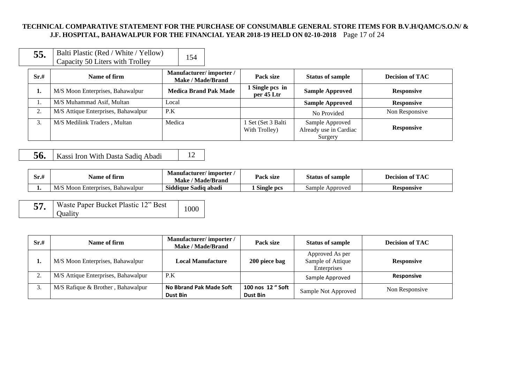#### **TECHNICAL COMPARATIVE STATEMENT FOR THE PURCHASE OF CONSUMABLE GENERAL STORE ITEMS FOR B.V.H/QAMC/S.O.N/ & J.F. HOSPITAL, BAHAWALPUR FOR THE FINANCIAL YEAR 2018-19 HELD ON 02-10-2018** Page 17 of 24

| 55. | Balti Plastic (Red / White / Yellow) | 154 |
|-----|--------------------------------------|-----|
|     | Capacity 50 Liters with Trolley      |     |

| Sr.#           | Name of firm                        | Manufacturer/importer/<br><b>Make / Made/Brand</b> | Pack size                           | <b>Status of sample</b>                              | <b>Decision of TAC</b> |
|----------------|-------------------------------------|----------------------------------------------------|-------------------------------------|------------------------------------------------------|------------------------|
| ı.             | M/S Moon Enterprises, Bahawalpur    | <b>Medica Brand Pak Made</b>                       | 1 Single pcs in<br>per 45 Ltr       | <b>Sample Approved</b>                               | <b>Responsive</b>      |
|                | M/S Muhammad Asif, Multan           | Local                                              |                                     | <b>Sample Approved</b>                               | <b>Responsive</b>      |
| $\gamma$<br>۷. | M/S Attique Enterprises, Bahawalpur | P.K                                                |                                     | No Provided                                          | Non Responsive         |
| 3.             | M/S Medilink Traders, Multan        | Medica                                             | l Set (Set 3 Balti<br>With Trolley) | Sample Approved<br>Already use in Cardiac<br>Surgery | <b>Responsive</b>      |

# **56.** Kassi Iron With Dasta Sadiq Abadi 12

| Sr.# | <b>00 00</b><br>Name of firm           | / importer<br><b>Manufacturer</b> /<br><b>Made/Brand</b><br>Make | Pack size            | <b>Status of sample</b> | <b>Decision of TAC</b> |
|------|----------------------------------------|------------------------------------------------------------------|----------------------|-------------------------|------------------------|
|      | M/S Moon<br>Enterprises.<br>Bahawalpur | <b>Siddiaue</b><br>Sadiq abadi                                   | $\sim$<br>Single pcs | Approved<br>sample      | Responsive             |

| Waste Paper Bucket Plastic 12" Best | 1000 |
|-------------------------------------|------|
| Ouality                             |      |

| Sr.#               | Name of firm                        | Manufacturer/importer/<br>Make / Made/Brand | Pack size                     | <b>Status of sample</b>                             | <b>Decision of TAC</b> |
|--------------------|-------------------------------------|---------------------------------------------|-------------------------------|-----------------------------------------------------|------------------------|
| ı.                 | M/S Moon Enterprises, Bahawalpur    | Local Manufacture                           | 200 piece bag                 | Approved As per<br>Sample of Attique<br>Enterprises | <b>Responsive</b>      |
| $\sim$<br><u>.</u> | M/S Attique Enterprises, Bahawalpur | P.K                                         |                               | Sample Approved                                     | <b>Responsive</b>      |
|                    | M/S Rafique & Brother, Bahawalpur   | No Bbrand Pak Made Soft<br>Dust Bin         | 100 nos 12 " Soft<br>Dust Bin | Sample Not Approved                                 | Non Responsive         |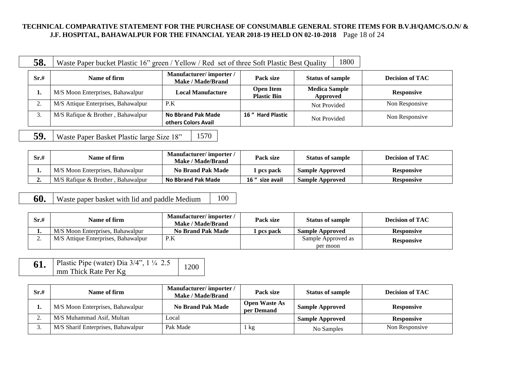#### **TECHNICAL COMPARATIVE STATEMENT FOR THE PURCHASE OF CONSUMABLE GENERAL STORE ITEMS FOR B.V.H/QAMC/S.O.N/ & J.F. HOSPITAL, BAHAWALPUR FOR THE FINANCIAL YEAR 2018-19 HELD ON 02-10-2018** Page 18 of 24

| 58.       | Waste Paper bucket Plastic 16" green / Yellow / Red set of three Soft Plastic Best Quality |                                                    |                                        | 1800                             |                        |
|-----------|--------------------------------------------------------------------------------------------|----------------------------------------------------|----------------------------------------|----------------------------------|------------------------|
| Sr.#      | Name of firm                                                                               | Manufacturer/importer/<br><b>Make / Made/Brand</b> | Pack size                              | <b>Status of sample</b>          | <b>Decision of TAC</b> |
|           | M/S Moon Enterprises, Bahawalpur                                                           | Local Manufacture                                  | <b>Open Item</b><br><b>Plastic Bin</b> | <b>Medica Sample</b><br>Approved | <b>Responsive</b>      |
| $\bigcap$ | M/S Attique Enterprises, Bahawalpur                                                        | P.K                                                |                                        | Not Provided                     | Non Responsive         |
| 3.        | M/S Rafique & Brother, Bahawalpur                                                          | <b>No Bbrand Pak Made</b><br>others Colors Avail   | 16 " Hard Plastic                      | Not Provided                     | Non Responsive         |

# **59.** Waste Paper Basket Plastic large Size 18" 1570

| Sr.# | Name of firm                      | Manufacturer/importer/<br>Make / Made/Brand | Pack size       | <b>Status of sample</b> | Decision of TAC   |
|------|-----------------------------------|---------------------------------------------|-----------------|-------------------------|-------------------|
| . .  | M/S Moon Enterprises, Bahawalpur  | <b>No Brand Pak Made</b>                    | 1 pcs pack      | <b>Sample Approved</b>  | <b>Responsive</b> |
| ∸.   | M/S Rafique & Brother, Bahawalpur | <b>No Bbrand Pak Made</b>                   | 16 " size avail | <b>Sample Approved</b>  | <b>Responsive</b> |

**60.** Waste paper basket with lid and paddle Medium 100

| Sr.# | Name of firm                        | Manufacturer/importer/<br>Make / Made/Brand | Pack size  | <b>Status of sample</b> | <b>Decision of TAC</b> |
|------|-------------------------------------|---------------------------------------------|------------|-------------------------|------------------------|
| . .  | M/S Moon Enterprises, Bahawalpur    | <b>No Brand Pak Made</b>                    | l pcs pack | <b>Sample Approved</b>  | <b>Responsive</b>      |
| ، ت  | M/S Attique Enterprises, Bahawalpur | P.K                                         |            | Sample Approved as      | <b>Responsive</b>      |
|      |                                     |                                             |            | per moon                |                        |

| 61. | Plastic Pipe (water) Dia $3/4$ ", 1 $\frac{1}{4}$ 2.5 | 1200 |
|-----|-------------------------------------------------------|------|
|     | mm Thick Rate Per Kg                                  |      |

| Sr.# | Name of firm                       | Manufacturer/importer/<br><b>Make / Made/Brand</b> | Pack size                          | <b>Status of sample</b> | <b>Decision of TAC</b> |
|------|------------------------------------|----------------------------------------------------|------------------------------------|-------------------------|------------------------|
| ı.   | M/S Moon Enterprises, Bahawalpur   | <b>No Brand Pak Made</b>                           | <b>Open Waste As</b><br>per Demand | <b>Sample Approved</b>  | <b>Responsive</b>      |
| ، ت  | M/S Muhammad Asif, Multan          | ocal                                               |                                    | <b>Sample Approved</b>  | <b>Responsive</b>      |
| J.   | M/S Sharif Enterprises, Bahawalpur | Pak Made                                           | 1 kg                               | No Samples              | Non Responsive         |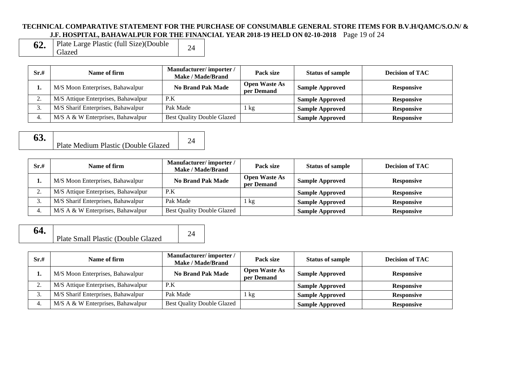#### **TECHNICAL COMPARATIVE STATEMENT FOR THE PURCHASE OF CONSUMABLE GENERAL STORE ITEMS FOR B.V.H/QAMC/S.O.N/ & J.F. HOSPITAL, BAHAWALPUR FOR THE FINANCIAL YEAR 2018-19 HELD ON 02-10-2018** Page 19 of 24

| 62. | Plate Large Plastic (full Size)(Double | 24 |
|-----|----------------------------------------|----|
|     | Glazed                                 |    |

(full Size)(Double

| Sr.#    | Name of firm                        | Manufacturer/importer/<br><b>Make / Made/Brand</b> | Pack size                          | <b>Status of sample</b> | <b>Decision of TAC</b> |
|---------|-------------------------------------|----------------------------------------------------|------------------------------------|-------------------------|------------------------|
|         | M/S Moon Enterprises, Bahawalpur    | <b>No Brand Pak Made</b>                           | <b>Open Waste As</b><br>per Demand | <b>Sample Approved</b>  | <b>Responsive</b>      |
| ◠<br>٠. | M/S Attique Enterprises, Bahawalpur | P.K                                                |                                    | <b>Sample Approved</b>  | <b>Responsive</b>      |
|         | M/S Sharif Enterprises, Bahawalpur  | Pak Made                                           | kg                                 | <b>Sample Approved</b>  | <b>Responsive</b>      |
| 4.      | M/S A & W Enterprises, Bahawalpur   | <b>Best Quality Double Glazed</b>                  |                                    | <b>Sample Approved</b>  | <b>Responsive</b>      |

| 63. |                                     |  |
|-----|-------------------------------------|--|
|     | Plate Medium Plastic (Double Glazed |  |

| Sr.# | Name of firm                        | Manufacturer/importer/<br><b>Make / Made/Brand</b> | Pack size                          | <b>Status of sample</b> | <b>Decision of TAC</b> |
|------|-------------------------------------|----------------------------------------------------|------------------------------------|-------------------------|------------------------|
|      | M/S Moon Enterprises, Bahawalpur    | <b>No Brand Pak Made</b>                           | <b>Open Waste As</b><br>per Demand | <b>Sample Approved</b>  | <b>Responsive</b>      |
| ٠.   | M/S Attique Enterprises, Bahawalpur | P.K                                                |                                    | <b>Sample Approved</b>  | <b>Responsive</b>      |
|      | M/S Sharif Enterprises, Bahawalpur  | Pak Made                                           | $1 \text{ kg}$                     | <b>Sample Approved</b>  | <b>Responsive</b>      |
| 4.   | M/S A & W Enterprises, Bahawalpur   | <b>Best Quality Double Glazed</b>                  |                                    | <b>Sample Approved</b>  | <b>Responsive</b>      |



| Sr.#            | Name of firm                        | Manufacturer/importer/<br>Make / Made/Brand | Pack size                          | <b>Status of sample</b> | <b>Decision of TAC</b> |
|-----------------|-------------------------------------|---------------------------------------------|------------------------------------|-------------------------|------------------------|
| .,              | M/S Moon Enterprises, Bahawalpur    | <b>No Brand Pak Made</b>                    | <b>Open Waste As</b><br>per Demand | <b>Sample Approved</b>  | <b>Responsive</b>      |
| $\bigcap$<br>٠. | M/S Attique Enterprises, Bahawalpur | P.K                                         |                                    | <b>Sample Approved</b>  | <b>Responsive</b>      |
| 3.              | M/S Sharif Enterprises, Bahawalpur  | Pak Made                                    | kg                                 | <b>Sample Approved</b>  | <b>Responsive</b>      |
| 4.              | M/S A & W Enterprises, Bahawalpur   | <b>Best Quality Double Glazed</b>           |                                    | <b>Sample Approved</b>  | <b>Responsive</b>      |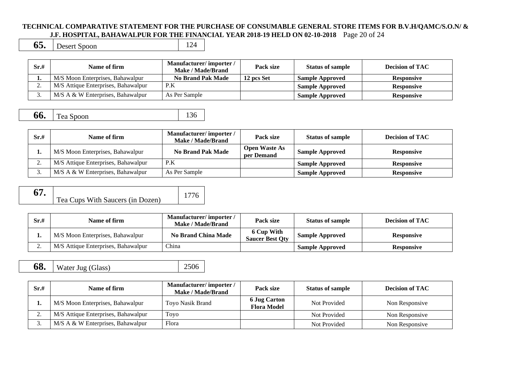#### **TECHNICAL COMPARATIVE STATEMENT FOR THE PURCHASE OF CONSUMABLE GENERAL STORE ITEMS FOR B.V.H/QAMC/S.O.N/ & J.F. HOSPITAL, BAHAWALPUR FOR THE FINANCIAL YEAR 2018-19 HELD ON 02-10-2018** Page 20 of 24

**65.** Desert Spoon 124

| Sr.#     | Name of firm                         | Manufacturer/importer/<br>Make / Made/Brand | Pack size  | <b>Status of sample</b> | <b>Decision of TAC</b> |
|----------|--------------------------------------|---------------------------------------------|------------|-------------------------|------------------------|
| . .      | M/S Moon Enterprises, Bahawalpur     | <b>No Brand Pak Made</b>                    | 12 pcs Set | <b>Sample Approved</b>  | Responsive             |
| <u>.</u> | M/S Attique Enterprises, Bahawalpur  | P.K                                         |            | <b>Sample Approved</b>  | <b>Responsive</b>      |
| J.       | $M/S A \& W$ Enterprises, Bahawalpur | As Per Sample                               |            | <b>Sample Approved</b>  | <b>Responsive</b>      |

**66.** Tea Spoon 136

| Sr.#     | Name of firm                        | Manufacturer/importer/<br>Make / Made/Brand | Pack size                          | <b>Status of sample</b> | <b>Decision of TAC</b> |
|----------|-------------------------------------|---------------------------------------------|------------------------------------|-------------------------|------------------------|
| . .      | M/S Moon Enterprises, Bahawalpur    | <b>No Brand Pak Made</b>                    | <b>Open Waste As</b><br>per Demand | <b>Sample Approved</b>  | <b>Responsive</b>      |
| <u>.</u> | M/S Attique Enterprises, Bahawalpur | P.K                                         |                                    | <b>Sample Approved</b>  | <b>Responsive</b>      |
|          | M/S A & W Enterprises, Bahawalpur   | As Per Sample                               |                                    | <b>Sample Approved</b>  | <b>Responsive</b>      |

**67.** Tea Cups With Saucers (in Dozen

| n) | 1776 |
|----|------|
|----|------|

| Sr.# | Name of firm                        | Manufacturer/importer/<br>Make / Made/Brand | Pack size                            | <b>Status of sample</b> | <b>Decision of TAC</b> |
|------|-------------------------------------|---------------------------------------------|--------------------------------------|-------------------------|------------------------|
| π.   | M/S Moon Enterprises, Bahawalpur    | <b>No Brand China Made</b>                  | 6 Cup With<br><b>Saucer Best Oty</b> | <b>Sample Approved</b>  | <b>Responsive</b>      |
| ٠.   | M/S Attique Enterprises, Bahawalpur | China                                       |                                      | <b>Sample Approved</b>  | <b>Responsive</b>      |

**68.** Water Jug (Glass) 2506

| Sr.# | Name of firm                        | Manufacturer/importer/<br>Make / Made/Brand | Pack size                                 | <b>Status of sample</b> | <b>Decision of TAC</b> |
|------|-------------------------------------|---------------------------------------------|-------------------------------------------|-------------------------|------------------------|
| ı.   | M/S Moon Enterprises, Bahawalpur    | Toyo Nasik Brand                            | <b>6 Jug Carton</b><br><b>Flora Model</b> | Not Provided            | Non Responsive         |
| ، ت  | M/S Attique Enterprises, Bahawalpur | Toyo                                        |                                           | Not Provided            | Non Responsive         |
| J.   | M/S A & W Enterprises, Bahawalpur   | Flora                                       |                                           | Not Provided            | Non Responsive         |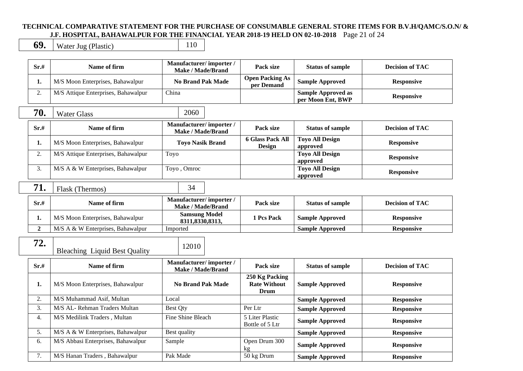#### **TECHNICAL COMPARATIVE STATEMENT FOR THE PURCHASE OF CONSUMABLE GENERAL STORE ITEMS FOR B.V.H/QAMC/S.O.N/ & J.F. HOSPITAL, BAHAWALPUR FOR THE FINANCIAL YEAR 2018-19 HELD ON 02-10-2018** Page 21 of 24

**69.** Water Jug (Plastic) 110

| Sr.#           | Name of firm                         | Manufacturer/importer/<br><b>Make / Made/Brand</b> | Pack size                                            | <b>Status of sample</b>                        | <b>Decision of TAC</b> |
|----------------|--------------------------------------|----------------------------------------------------|------------------------------------------------------|------------------------------------------------|------------------------|
| 1.             | M/S Moon Enterprises, Bahawalpur     | <b>No Brand Pak Made</b>                           | <b>Open Packing As</b><br>per Demand                 | <b>Sample Approved</b>                         | <b>Responsive</b>      |
| 2.             | M/S Attique Enterprises, Bahawalpur  | China                                              |                                                      | <b>Sample Approved as</b><br>per Moon Ent, BWP | <b>Responsive</b>      |
| 70.            | <b>Water Glass</b>                   | 2060                                               |                                                      |                                                |                        |
| Sr.#           | Name of firm                         | Manufacturer/importer/<br><b>Make / Made/Brand</b> | Pack size                                            | <b>Status of sample</b>                        | <b>Decision of TAC</b> |
| 1.             | M/S Moon Enterprises, Bahawalpur     | <b>Toyo Nasik Brand</b>                            | <b>6 Glass Pack All</b><br><b>Design</b>             | <b>Toyo All Design</b><br>approved             | <b>Responsive</b>      |
| 2.             | M/S Attique Enterprises, Bahawalpur  | Toyo                                               |                                                      | <b>Toyo All Design</b><br>approved             | <b>Responsive</b>      |
| 3.             | M/S A & W Enterprises, Bahawalpur    | Toyo, Omroc                                        |                                                      | <b>Toyo All Design</b><br>approved             | <b>Responsive</b>      |
| 71.            | Flask (Thermos)                      | 34                                                 |                                                      |                                                |                        |
| Sr.#           | Name of firm                         | Manufacturer/importer/<br><b>Make / Made/Brand</b> | Pack size                                            | <b>Status of sample</b>                        | <b>Decision of TAC</b> |
| 1.             | M/S Moon Enterprises, Bahawalpur     | <b>Samsung Model</b><br>8311,8330,8313,            | 1 Pcs Pack                                           | <b>Sample Approved</b>                         | <b>Responsive</b>      |
| $\overline{2}$ | M/S A & W Enterprises, Bahawalpur    | Imported                                           |                                                      | <b>Sample Approved</b>                         | <b>Responsive</b>      |
| 72.            | <b>Bleaching Liquid Best Quality</b> | 12010                                              |                                                      |                                                |                        |
| Sr.#           | Name of firm                         | Manufacturer/importer/<br><b>Make / Made/Brand</b> | Pack size                                            | <b>Status of sample</b>                        | <b>Decision of TAC</b> |
| 1.             | M/S Moon Enterprises, Bahawalpur     | <b>No Brand Pak Made</b>                           | 250 Kg Packing<br><b>Rate Without</b><br><b>Drum</b> | <b>Sample Approved</b>                         | <b>Responsive</b>      |
| 2.             | M/S Muhammad Asif, Multan            | Local                                              |                                                      | <b>Sample Approved</b>                         | <b>Responsive</b>      |
| 3.             | M/S AL- Rehman Traders Multan        | <b>Best Qty</b>                                    | Per Ltr                                              | <b>Sample Approved</b>                         | <b>Responsive</b>      |
| 4.             | M/S Medilink Traders, Multan         | Fine Shine Bleach                                  | 5 Liter Plastic<br>Bottle of 5 Ltr                   | <b>Sample Approved</b>                         | <b>Responsive</b>      |
| 5.             | M/S A & W Enterprises, Bahawalpur    | Best quality                                       |                                                      | <b>Sample Approved</b>                         | <b>Responsive</b>      |
| 6.             | M/S Abbasi Enterprises, Bahawalpur   | Sample                                             | Open Drum 300<br>kg                                  | <b>Sample Approved</b>                         | <b>Responsive</b>      |
| 7.             | M/S Hanan Traders, Bahawalpur        | Pak Made                                           | 50 kg Drum                                           | <b>Sample Approved</b>                         | <b>Responsive</b>      |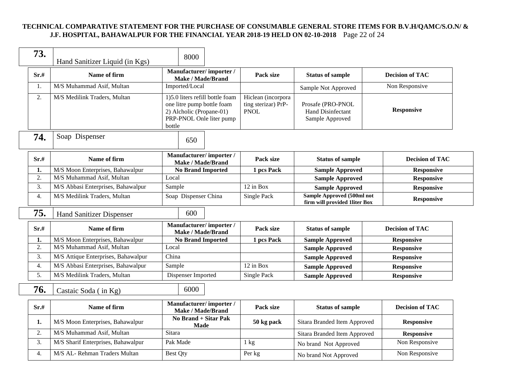## **TECHNICAL COMPARATIVE STATEMENT FOR THE PURCHASE OF CONSUMABLE GENERAL STORE ITEMS FOR B.V.H/QAMC/S.O.N/ & J.F. HOSPITAL, BAHAWALPUR FOR THE FINANCIAL YEAR 2018-19 HELD ON 02-10-2018** Page 22 of 24

| 73.  | Hand Sanitizer Liquid (in Kgs)      | 8000                                                                                                                            |                                                          |                                                             |                        |  |
|------|-------------------------------------|---------------------------------------------------------------------------------------------------------------------------------|----------------------------------------------------------|-------------------------------------------------------------|------------------------|--|
| Sr.# | Name of firm                        | Manufacturer/importer/<br>Make / Made/Brand                                                                                     | Pack size                                                | <b>Status of sample</b>                                     | <b>Decision of TAC</b> |  |
| 1.   | M/S Muhammad Asif, Multan           | Imported/Local                                                                                                                  |                                                          | Sample Not Approved                                         | Non Responsive         |  |
| 2.   | M/S Medilink Traders, Multan        | 1)5.0 liters refill bottle foam<br>one litre pump bottle foam<br>2) Alcholic (Propane-01)<br>PRP-PNOL Onle liter pump<br>bottle | Hiclean (incorpora<br>ting sterizar) PrP-<br><b>PNOL</b> | Prosafe (PRO-PNOL<br>Hand Disinfectant<br>Sample Approved   | <b>Responsive</b>      |  |
| 74.  | Soap Dispenser                      | 650                                                                                                                             |                                                          |                                                             |                        |  |
| Sr.# | Name of firm                        | Manufacturer/importer/<br><b>Make / Made/Brand</b>                                                                              | Pack size                                                | <b>Status of sample</b>                                     | <b>Decision of TAC</b> |  |
| 1.   | M/S Moon Enterprises, Bahawalpur    | <b>No Brand Imported</b>                                                                                                        | 1 pcs Pack                                               | <b>Sample Approved</b>                                      | <b>Responsive</b>      |  |
| 2.   | M/S Muhammad Asif, Multan           | Local                                                                                                                           |                                                          | <b>Sample Approved</b>                                      | <b>Responsive</b>      |  |
| 3.   | M/S Abbasi Enterprises, Bahawalpur  | Sample                                                                                                                          | 12 in Box                                                | <b>Sample Approved</b>                                      | <b>Responsive</b>      |  |
| 4.   | M/S Medilink Traders, Multan        | Soap Dispenser China                                                                                                            | Single Pack                                              | Sample Approved (500ml not<br>firm will provided 1liter Box | <b>Responsive</b>      |  |
| 75.  | <b>Hand Sanitizer Dispenser</b>     | 600                                                                                                                             |                                                          |                                                             |                        |  |
| Sr.# | Name of firm                        | Manufacturer/importer/<br><b>Make / Made/Brand</b>                                                                              | Pack size                                                | <b>Status of sample</b>                                     | <b>Decision of TAC</b> |  |
| 1.   | M/S Moon Enterprises, Bahawalpur    | <b>No Brand Imported</b>                                                                                                        | 1 pcs Pack                                               | <b>Sample Approved</b>                                      | <b>Responsive</b>      |  |
| 2.   | M/S Muhammad Asif, Multan           | Local                                                                                                                           |                                                          | <b>Sample Approved</b>                                      | <b>Responsive</b>      |  |
| 3.   | M/S Attique Enterprises, Bahawalpur | China                                                                                                                           |                                                          | <b>Sample Approved</b>                                      | <b>Responsive</b>      |  |
| 4.   | M/S Abbasi Enterprises, Bahawalpur  | Sample                                                                                                                          | 12 in Box                                                | <b>Sample Approved</b>                                      | <b>Responsive</b>      |  |
| 5.   | M/S Medilink Traders, Multan        | Dispenser Imported                                                                                                              | Single Pack                                              | <b>Sample Approved</b>                                      | <b>Responsive</b>      |  |
| 76.  | Castaic Soda (in Kg)                | 6000                                                                                                                            |                                                          |                                                             |                        |  |
| Sr.# | Name of firm                        | Manufacturer/importer/<br><b>Make / Made/Brand</b>                                                                              | Pack size                                                | <b>Status of sample</b>                                     | <b>Decision of TAC</b> |  |
| 1.   | M/S Moon Enterprises, Bahawalpur    | No Brand + Sitar Pak<br><b>Made</b>                                                                                             | 50 kg pack                                               | Sitara Branded Item Approved                                | <b>Responsive</b>      |  |
| 2.   | M/S Muhammad Asif, Multan           | Sitara                                                                                                                          |                                                          | Sitara Branded Item Approved                                | <b>Responsive</b>      |  |
| 3.   | M/S Sharif Enterprises, Bahawalpur  | Pak Made                                                                                                                        | $1 \text{ kg}$                                           | No brand Not Approved                                       | Non Responsive         |  |
| 4.   | M/S AL- Rehman Traders Multan       | <b>Best Qty</b>                                                                                                                 | Per kg                                                   | No brand Not Approved                                       | Non Responsive         |  |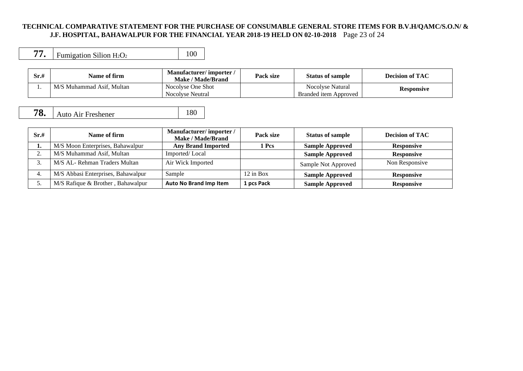#### **TECHNICAL COMPARATIVE STATEMENT FOR THE PURCHASE OF CONSUMABLE GENERAL STORE ITEMS FOR B.V.H/QAMC/S.O.N/ & J.F. HOSPITAL, BAHAWALPUR FOR THE FINANCIAL YEAR 2018-19 HELD ON 02-10-2018** Page 23 of 24

|  | Fumigation Silion $H_2O_2$ |  |
|--|----------------------------|--|
|--|----------------------------|--|

| Sr.# | Name of firm              | Manufacturer/importer/<br>Make / Made/Brand | Pack size | <b>Status of sample</b>                   | <b>Decision of TAC</b> |
|------|---------------------------|---------------------------------------------|-----------|-------------------------------------------|------------------------|
| . .  | M/S Muhammad Asif. Multan | Nocolyse One Shot<br>Nocolyse Neutral       |           | Nocolyse Natural<br>Branded item Approved | <b>Responsive</b>      |

# **78.** Auto Air Freshener 180

| Sr.# | Name of firm                       | Manufacturer/importer/<br>Make / Made/Brand | Pack size   | <b>Status of sample</b> | <b>Decision of TAC</b> |
|------|------------------------------------|---------------------------------------------|-------------|-------------------------|------------------------|
|      | M/S Moon Enterprises, Bahawalpur   | <b>Any Brand Imported</b>                   | 1 Pcs       | <b>Sample Approved</b>  | <b>Responsive</b>      |
|      | M/S Muhammad Asif, Multan          | Imported/Local                              |             | <b>Sample Approved</b>  | <b>Responsive</b>      |
|      | M/S AL- Rehman Traders Multan      | Air Wick Imported                           |             | Sample Not Approved     | Non Responsive         |
|      | M/S Abbasi Enterprises, Bahawalpur | Sample                                      | $12$ in Box | <b>Sample Approved</b>  | <b>Responsive</b>      |
|      | M/S Rafique & Brother, Bahawalpur  | <b>Auto No Brand Imp Item</b>               | 1 pcs Pack  | <b>Sample Approved</b>  | <b>Responsive</b>      |